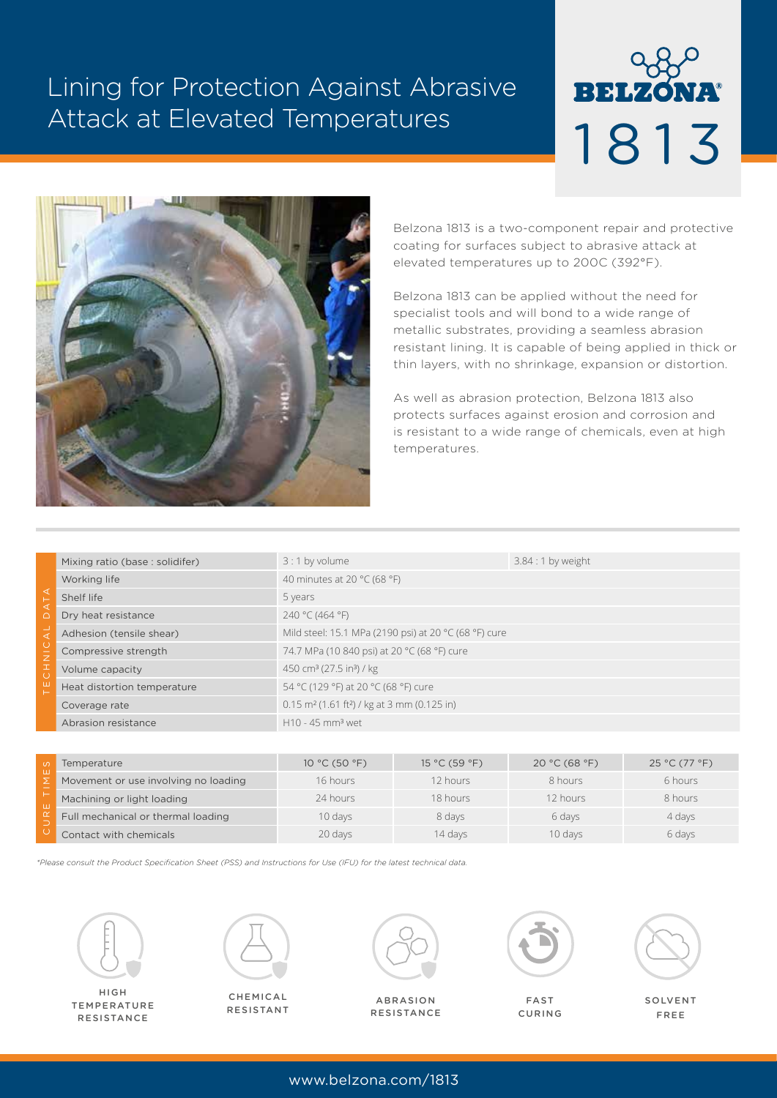# Lining for Protection Against Abrasive Attack at Elevated Temperatures





Belzona 1813 is a two-component repair and protective coating for surfaces subject to abrasive attack at elevated temperatures up to 200C (392°F).

Belzona 1813 can be applied without the need for specialist tools and will bond to a wide range of metallic substrates, providing a seamless abrasion resistant lining. It is capable of being applied in thick or thin layers, with no shrinkage, expansion or distortion.

As well as abrasion protection, Belzona 1813 also protects surfaces against erosion and corrosion and is resistant to a wide range of chemicals, even at high temperatures.

|                                               | Mixing ratio (base: solidifer) | $3:1$ by volume                                                       | $3.84:1$ by weight |  |
|-----------------------------------------------|--------------------------------|-----------------------------------------------------------------------|--------------------|--|
| ◁<br>◁<br>$\bigcap$<br>◁<br>Z<br>Ξ<br>īO<br>Щ | Working life                   | 40 minutes at 20 °C (68 °F)                                           |                    |  |
|                                               | Shelf life                     | 5 years                                                               |                    |  |
|                                               | Dry heat resistance            | 240 °C (464 °F)                                                       |                    |  |
|                                               | Adhesion (tensile shear)       | Mild steel: 15.1 MPa (2190 psi) at 20 °C (68 °F) cure                 |                    |  |
|                                               | Compressive strength           | 74.7 MPa (10 840 psi) at 20 °C (68 °F) cure                           |                    |  |
|                                               | Volume capacity                | 450 cm <sup>3</sup> (27.5 in <sup>3</sup> ) / kg                      |                    |  |
|                                               | Heat distortion temperature    | 54 °C (129 °F) at 20 °C (68 °F) cure                                  |                    |  |
|                                               | Coverage rate                  | $0.15$ m <sup>2</sup> (1.61 ft <sup>2</sup> ) / kg at 3 mm (0.125 in) |                    |  |
|                                               | Abrasion resistance            | $H10 - 45$ mm <sup>3</sup> wet                                        |                    |  |

|   | Temperature                          | 10 °C (50 °F) | 15 °C (59 °F) | 20 °C (68 °F) | 25 °C (77 °F) |
|---|--------------------------------------|---------------|---------------|---------------|---------------|
| ш | Movement or use involving no loading | 16 hours      | 12 hours      | 8 hours       | 6 hours       |
|   | Machining or light loading           | 24 hours      | 18 hours      | 12 hours      | 8 hours       |
|   | Full mechanical or thermal loading   | 10 days       | 8 days        | 6 days        | 4 days        |
|   | Contact with chemicals               | 20 days       | 14 days       | 10 days       | 6 days        |

*\*Please consult the Product Specification Sheet (PSS) and Instructions for Use (IFU) for the latest technical data.*



HIGH TEMPERATURE **RESISTANCE** 



CHEMICAL RESISTANT



ABRASION **RESISTANCE** 



FAST CURING



SOLVENT FREE